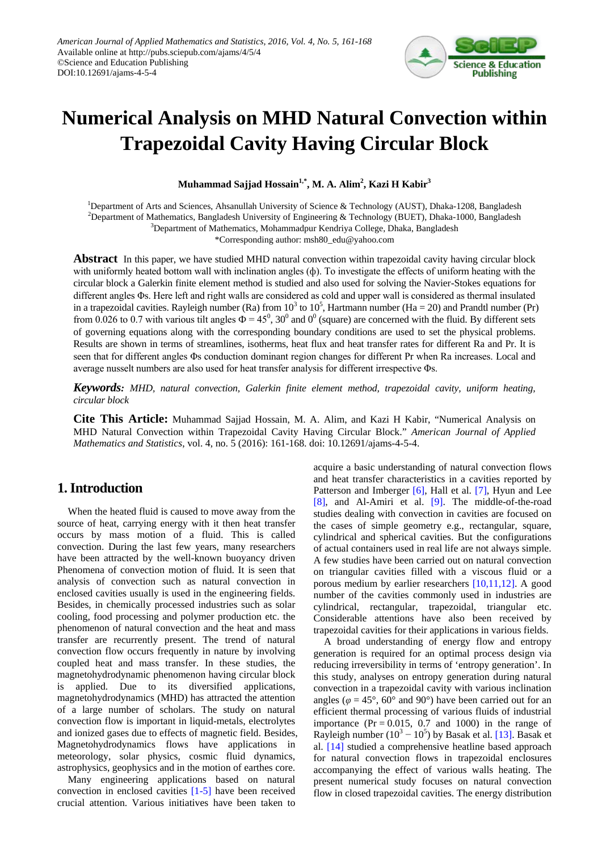

# **Numerical Analysis on MHD Natural Convection within Trapezoidal Cavity Having Circular Block**

**Muhammad Sajjad Hossain1,\* , M. A. Alim<sup>2</sup> , Kazi H Kabir<sup>3</sup>**

<sup>1</sup>Department of Arts and Sciences, Ahsanullah University of Science & Technology (AUST), Dhaka-1208, Bangladesh <sup>2</sup>Department of Mathematics, Bangladesh University of Engineering & Technology (BUET), Dhaka-1000, Bangladesh <sup>3</sup>Department of Mathematics, Mohammadpur Kendriya College, Dhaka, Bangladesh

\*Corresponding author: msh80\_edu@yahoo.com

**Abstract** In this paper, we have studied MHD natural convection within trapezoidal cavity having circular block with uniformly heated bottom wall with inclination angles (ф). To investigate the effects of uniform heating with the circular block a Galerkin finite element method is studied and also used for solving the Navier-Stokes equations for different angles Φs. Here left and right walls are considered as cold and upper wall is considered as thermal insulated in a trapezoidal cavities. Rayleigh number (Ra) from  $10^3$  to  $10^5$ , Hartmann number (Ha = 20) and Prandtl number (Pr) from 0.026 to 0.7 with various tilt angles  $\Phi = 45^0$ , 30<sup>0</sup> and 0<sup>0</sup> (square) are concerned with the fluid. By different sets of governing equations along with the corresponding boundary conditions are used to set the physical problems. Results are shown in terms of streamlines, isotherms, heat flux and heat transfer rates for different Ra and Pr. It is seen that for different angles Φs conduction dominant region changes for different Pr when Ra increases. Local and average nusselt numbers are also used for heat transfer analysis for different irrespective Φs.

*Keywords: MHD, natural convection, Galerkin finite element method, trapezoidal cavity, uniform heating, circular block*

**Cite This Article:** Muhammad Sajjad Hossain, M. A. Alim, and Kazi H Kabir, "Numerical Analysis on MHD Natural Convection within Trapezoidal Cavity Having Circular Block." *American Journal of Applied Mathematics and Statistics*, vol. 4, no. 5 (2016): 161-168. doi: 10.12691/ajams-4-5-4.

# **1. Introduction**

When the heated fluid is caused to move away from the source of heat, carrying energy with it then heat transfer occurs by mass motion of a fluid. This is called convection. During the last few years, many researchers have been attracted by the well-known buoyancy driven Phenomena of convection motion of fluid. It is seen that analysis of convection such as natural convection in enclosed cavities usually is used in the engineering fields. Besides, in chemically processed industries such as solar cooling, food processing and polymer production etc. the phenomenon of natural convection and the heat and mass transfer are recurrently present. The trend of natural convection flow occurs frequently in nature by involving coupled heat and mass transfer. In these studies, the magnetohydrodynamic phenomenon having circular block is applied. Due to its diversified applications, magnetohydrodynamics (MHD) has attracted the attention of a large number of scholars. The study on natural convection flow is important in liquid-metals, electrolytes and ionized gases due to effects of magnetic field. Besides, Magnetohydrodynamics flows have applications in meteorology, solar physics, cosmic fluid dynamics, astrophysics, geophysics and in the motion of earthes core.

Many engineering applications based on natural convection in enclosed cavities [\[1-5\]](#page-7-0) have been received crucial attention. Various initiatives have been taken to acquire a basic understanding of natural convection flows and heat transfer characteristics in a cavities reported by Patterson and Imberger [\[6\],](#page-7-1) Hall et al. [\[7\],](#page-7-2) Hyun and Lee [\[8\],](#page-7-3) and Al-Amiri et al. [\[9\].](#page-7-4) The middle-of-the-road studies dealing with convection in cavities are focused on the cases of simple geometry e.g., rectangular, square, cylindrical and spherical cavities. But the configurations of actual containers used in real life are not always simple. A few studies have been carried out on natural convection on triangular cavities filled with a viscous fluid or a porous medium by earlier researchers [\[10,11,12\].](#page-7-5) A good number of the cavities commonly used in industries are cylindrical, rectangular, trapezoidal, triangular etc. Considerable attentions have also been received by trapezoidal cavities for their applications in various fields.

A broad understanding of energy flow and entropy generation is required for an optimal process design via reducing irreversibility in terms of 'entropy generation'. In this study, analyses on entropy generation during natural convection in a trapezoidal cavity with various inclination angles ( $\varphi = 45^{\circ}$ , 60° and 90°) have been carried out for an efficient thermal processing of various fluids of industrial importance ( $Pr = 0.015$ , 0.7 and 1000) in the range of Rayleigh number  $(10^3 - 10^5)$  by Basak et al. [\[13\].](#page-7-6) Basak et al. [\[14\]](#page-7-7) studied a comprehensive heatline based approach for natural convection flows in trapezoidal enclosures accompanying the effect of various walls heating. The present numerical study focuses on natural convection flow in closed trapezoidal cavities. The energy distribution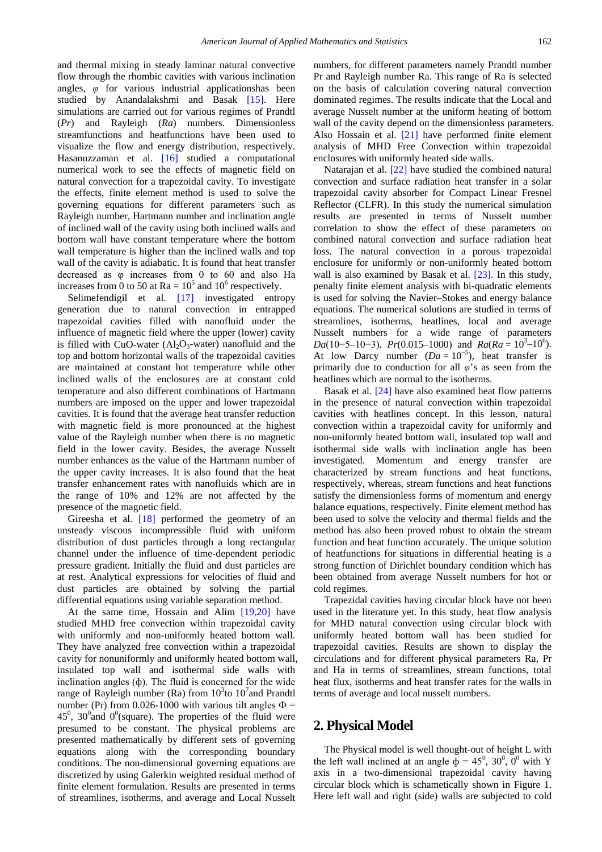and thermal mixing in steady laminar natural convective flow through the rhombic cavities with various inclination angles, *φ* for various industrial applicationshas been studied by Anandalakshmi and Basak [\[15\].](#page-7-8) Here simulations are carried out for various regimes of Prandtl (*Pr*) and Rayleigh (*Ra*) numbers. Dimensionless streamfunctions and heatfunctions have been used to visualize the flow and energy distribution, respectively. Hasanuzzaman et al. [\[16\]](#page-7-9) studied a computational numerical work to see the effects of magnetic field on natural convection for a trapezoidal cavity. To investigate the effects, finite element method is used to solve the governing equations for different parameters such as Rayleigh number, Hartmann number and inclination angle of inclined wall of the cavity using both inclined walls and bottom wall have constant temperature where the bottom wall temperature is higher than the inclined walls and top wall of the cavity is adiabatic. It is found that heat transfer decreased as φ increases from 0 to 60 and also Ha increases from 0 to 50 at  $Ra = 10^5$  and 10<sup>6</sup> respectively.

Selimefendigil et al. [\[17\]](#page-7-10) investigated entropy generation due to natural convection in entrapped trapezoidal cavities filled with nanofluid under the influence of magnetic field where the upper (lower) cavity is filled with CuO-water  $(Al_2O_3$ -water) nanofluid and the top and bottom horizontal walls of the trapezoidal cavities are maintained at constant hot temperature while other inclined walls of the enclosures are at constant cold temperature and also different combinations of Hartmann numbers are imposed on the upper and lower trapezoidal cavities. It is found that the average heat transfer reduction with magnetic field is more pronounced at the highest value of the Rayleigh number when there is no magnetic field in the lower cavity. Besides, the average Nusselt number enhances as the value of the Hartmann number of the upper cavity increases. It is also found that the heat transfer enhancement rates with nanofluids which are in the range of 10% and 12% are not affected by the presence of the magnetic field.

Gireesha et al. [\[18\]](#page-7-11) performed the geometry of an unsteady viscous incompressible fluid with uniform distribution of dust particles through a long rectangular channel under the influence of time-dependent periodic pressure gradient. Initially the fluid and dust particles are at rest. Analytical expressions for velocities of fluid and dust particles are obtained by solving the partial differential equations using variable separation method.

At the same time, Hossain and Alim [\[19,20\]](#page-7-12) have studied MHD free convection within trapezoidal cavity with uniformly and non-uniformly heated bottom wall. They have analyzed free convection within a trapezoidal cavity for nonuniformly and uniformly heated bottom wall, insulated top wall and isothermal side walls with inclination angles (ф). The fluid is concerned for the wide range of Rayleigh number (Ra) from  $10^3$  to  $10^7$  and Prandtl number (Pr) from 0.026-1000 with various tilt angles  $\Phi$  =  $45^{\circ}$ ,  $30^{\circ}$  and  $0^{\circ}$ (square). The properties of the fluid were presumed to be constant. The physical problems are presented mathematically by different sets of governing equations along with the corresponding boundary conditions. The non-dimensional governing equations are discretized by using Galerkin weighted residual method of finite element formulation. Results are presented in terms of streamlines, isotherms, and average and Local Nusselt

numbers, for different parameters namely Prandtl number Pr and Rayleigh number Ra. This range of Ra is selected on the basis of calculation covering natural convection dominated regimes. The results indicate that the Local and average Nusselt number at the uniform heating of bottom wall of the cavity depend on the dimensionless parameters. Also Hossain et al. [\[21\]](#page-7-13) have performed finite element analysis of MHD Free Convection within trapezoidal enclosures with uniformly heated side walls.

Natarajan et al. [\[22\]](#page-7-14) have studied the combined natural convection and surface radiation heat transfer in a solar trapezoidal cavity absorber for Compact Linear Fresnel Reflector (CLFR). In this study the numerical simulation results are presented in terms of Nusselt number correlation to show the effect of these parameters on combined natural convection and surface radiation heat loss. The natural convection in a porous trapezoidal enclosure for uniformly or non-uniformly heated bottom wall is also examined by Basak et al. [\[23\].](#page-7-15) In this study, penalty finite element analysis with bi-quadratic elements is used for solving the Navier–Stokes and energy balance equations. The numerical solutions are studied in terms of streamlines, isotherms, heatlines, local and average Nusselt numbers for a wide range of parameters *Da*(10–5–10–3), *Pr*(0.015–1000) and  $Ra(Ra = 10^3 - 10^6)$ . At low Darcy number  $(Da = 10^{-5})$ , heat transfer is primarily due to conduction for all *φ*'s as seen from the heatlines which are normal to the isotherms.

Basak et al. [\[24\]](#page-7-16) have also examined heat flow patterns in the presence of natural convection within trapezoidal cavities with heatlines concept. In this lesson, natural convection within a trapezoidal cavity for uniformly and non-uniformly heated bottom wall, insulated top wall and isothermal side walls with inclination angle has been investigated. Momentum and energy transfer are characterized by stream functions and heat functions, respectively, whereas, stream functions and heat functions satisfy the dimensionless forms of momentum and energy balance equations, respectively. Finite element method has been used to solve the velocity and thermal fields and the method has also been proved robust to obtain the stream function and heat function accurately. The unique solution of heatfunctions for situations in differential heating is a strong function of Dirichlet boundary condition which has been obtained from average Nusselt numbers for hot or cold regimes.

Trapezidal cavities having circular block have not been used in the literature yet. In this study, heat flow analysis for MHD natural convection using circular block with uniformly heated bottom wall has been studied for trapezoidal cavities. Results are shown to display the circulations and for different physical parameters Ra, Pr and Ha in terms of streamlines, stream functions, total heat flux, isotherms and heat transfer rates for the walls in terms of average and local nusselt numbers.

## **2. Physical Model**

The Physical model is well thought-out of height L with the left wall inclined at an angle  $\dot{\phi} = 45^{\circ}$ , 30<sup>°</sup>, 0<sup>°</sup> with Y axis in a two-dimensional trapezoidal cavity having circular block which is schametically shown in Figure 1. Here left wall and right (side) walls are subjected to cold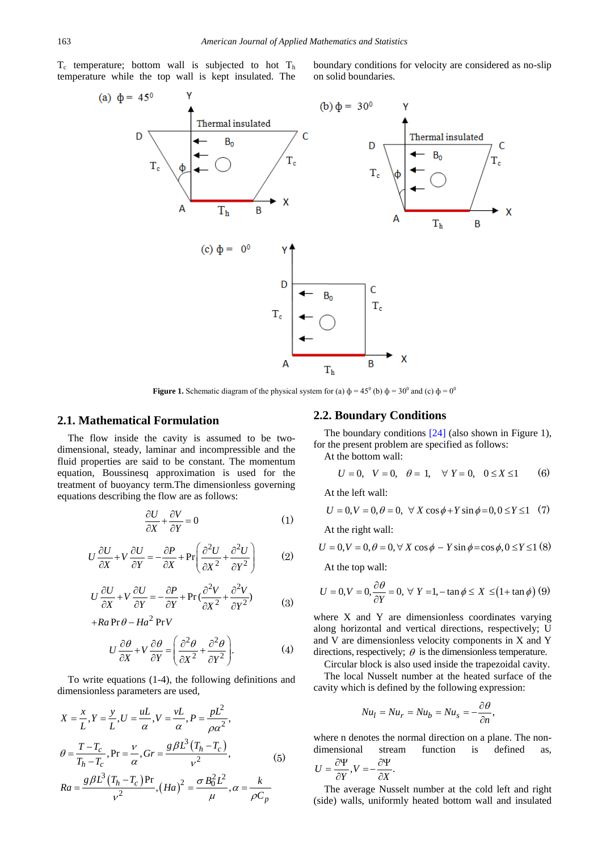$T_c$  temperature; bottom wall is subjected to hot  $T<sub>h</sub>$ temperature while the top wall is kept insulated. The

boundary conditions for velocity are considered as no-slip on solid boundaries.



**Figure 1.** Schematic diagram of the physical system for (a)  $\phi = 45^{\circ}$  (b)  $\phi = 30^{\circ}$  and (c)  $\phi = 0^{\circ}$ 

#### **2.1. Mathematical Formulation**

The flow inside the cavity is assumed to be twodimensional, steady, laminar and incompressible and the fluid properties are said to be constant. The momentum equation, Boussinesq approximation is used for the treatment of buoyancy term.The dimensionless governing equations describing the flow are as follows:

$$
\frac{\partial U}{\partial X} + \frac{\partial V}{\partial Y} = 0 \tag{1}
$$

$$
U\frac{\partial U}{\partial X} + V\frac{\partial U}{\partial Y} = -\frac{\partial P}{\partial X} + \text{Pr}\left(\frac{\partial^2 U}{\partial X^2} + \frac{\partial^2 U}{\partial Y^2}\right) \tag{2}
$$

$$
U\frac{\partial U}{\partial X} + V\frac{\partial U}{\partial Y} = -\frac{\partial P}{\partial Y} + \text{Pr}\left(\frac{\partial^2 V}{\partial X^2} + \frac{\partial^2 V}{\partial Y^2}\right) \tag{3}
$$

$$
+Ra\Pr\theta - Ha^2\Pr V
$$

 $v^{\overline{2}}$ 

$$
U\frac{\partial\theta}{\partial X} + V\frac{\partial\theta}{\partial Y} = \left(\frac{\partial^2\theta}{\partial X^2} + \frac{\partial^2\theta}{\partial Y^2}\right).
$$
 (4)

*p C*

α

To write equations (1-4), the following definitions and dimensionless parameters are used,

$$
X = \frac{x}{L}, Y = \frac{y}{L}, U = \frac{uL}{\alpha}, V = \frac{vL}{\alpha}, P = \frac{pL^2}{\rho\alpha^2},
$$
  
\n
$$
\theta = \frac{T - T_c}{T_h - T_c}, \text{Pr} = \frac{v}{\alpha}, \text{Gr} = \frac{g\beta L^3 (T_h - T_c)}{v^2},
$$
  
\n
$$
Ra = \frac{g\beta L^3 (T_h - T_c) \text{Pr}}{2}, (Ha)^2 = \frac{\sigma B_0^2 L^2}{2}, \alpha = \frac{k}{\sigma}.
$$
 (5)

 $v^2$   $\mu$   $\rho$ 

**2.2. Boundary Conditions**

The boundary conditions [\[24\]](#page-7-16) (also shown in Figure 1), for the present problem are specified as follows:

At the bottom wall:

$$
U = 0
$$
,  $V = 0$ ,  $\theta = 1$ ,  $\forall Y = 0$ ,  $0 \le X \le 1$  (6)

At the left wall:

$$
U = 0, V = 0, \theta = 0, \forall X \cos \phi + Y \sin \phi = 0, 0 \le Y \le 1 \quad (7)
$$

At the right wall:

$$
U = 0, V = 0, \theta = 0, \forall X \cos \phi - Y \sin \phi = \cos \phi, 0 \le Y \le 1
$$
 (8)

At the top wall:

$$
U = 0, V = 0, \frac{\partial \theta}{\partial Y} = 0, \forall Y = 1, -\tan \phi \le X \le (1 + \tan \phi) (9)
$$

where X and Y are dimensionless coordinates varying along horizontal and vertical directions, respectively; U and V are dimensionless velocity components in X and Y directions, respectively;  $\theta$  is the dimensionless temperature.

Circular block is also used inside the trapezoidal cavity.

The local Nusselt number at the heated surface of the cavity which is defined by the following expression:

$$
Nu_l = Nu_r = Nu_b = Nu_s = -\frac{\partial \theta}{\partial n},
$$

where n denotes the normal direction on a plane. The nondimensional stream function is defined as,

$$
U = \frac{\partial \Psi}{\partial Y}, V = -\frac{\partial \Psi}{\partial X}.
$$

The average Nusselt number at the cold left and right (side) walls, uniformly heated bottom wall and insulated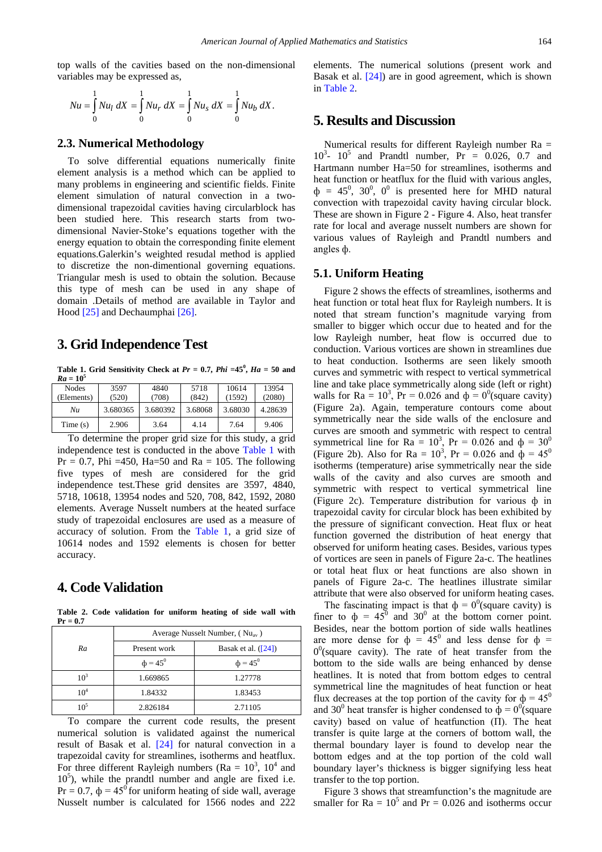top walls of the cavities based on the non-dimensional variables may be expressed as,

$$
Nu = \int_{0}^{1} Nu_{l} dX = \int_{0}^{1} Nu_{r} dX = \int_{0}^{1} Nu_{s} dX = \int_{0}^{1} Nu_{b} dX.
$$

#### **2.3. Numerical Methodology**

To solve differential equations numerically finite element analysis is a method which can be applied to many problems in engineering and scientific fields. Finite element simulation of natural convection in a twodimensional trapezoidal cavities having circularblock has been studied here. This research starts from twodimensional Navier-Stoke's equations together with the energy equation to obtain the corresponding finite element equations.Galerkin's weighted resudal method is applied to discretize the non-dimentional governing equations. Triangular mesh is used to obtain the solution. Because this type of mesh can be used in any shape of domain .Details of method are available in Taylor and Hood [\[25\]](#page-7-17) and Dechaumpha[i \[26\].](#page-7-18)

### **3. Grid Independence Test**

**Table 1. Grid Sensitivity Check at**  $Pr = 0.7$ **,**  $Phi = 45^\circ$ **,**  $Ha = 50$  **and**  $Ra = 10^5$ 

<span id="page-3-0"></span>

| Nodes      | 3597     | 4840     | 5718    | 10614   | 13954   |
|------------|----------|----------|---------|---------|---------|
| (Elements) | (520)    | (708)    | (842)   | (1592)  | (2080)  |
| Nи         | 3.680365 | 3.680392 | 3.68068 | 3.68030 | 4.28639 |
| Time(s)    | 2.906    | 3.64     | 4.14    | 7.64    | 9.406   |

To determine the proper grid size for this study, a grid independence test is conducted in the above [Table 1](#page-3-0) with  $Pr = 0.7$ , Phi =450, Ha=50 and Ra = 105. The following five types of mesh are considered for the grid independence test.These grid densites are 3597, 4840, 5718, 10618, 13954 nodes and 520, 708, 842, 1592, 2080 elements. Average Nusselt numbers at the heated surface study of trapezoidal enclosures are used as a measure of accuracy of solution. From the [Table 1,](#page-3-0) a grid size of 10614 nodes and 1592 elements is chosen for better accuracy.

# **4. Code Validation**

**Table 2. Code validation for uniform heating of side wall with Pr = 0.7**

<span id="page-3-1"></span>

|                 | Average Nusselt Number, $(Nu_{av})$ |                       |  |  |
|-----------------|-------------------------------------|-----------------------|--|--|
| Ra              | Present work                        | Basak et al. $([24])$ |  |  |
|                 | $\phi = 45^{\circ}$                 | $\phi = 45^{\circ}$   |  |  |
| $10^3$          | 1.669865                            | 1.27778               |  |  |
| 10 <sup>4</sup> | 1.84332                             | 1.83453               |  |  |
| $10^5$          | 2.826184                            | 2.71105               |  |  |

To compare the current code results, the present numerical solution is validated against the numerical result of Basak et al. [\[24\]](#page-7-16) for natural convection in a trapezoidal cavity for streamlines, isotherms and heatflux. For three different Rayleigh numbers (Ra =  $10^3$ ,  $10^4$  and 10<sup>5</sup>), while the prandtl number and angle are fixed i.e.  $Pr = 0.7$ ,  $\phi = 45^{\circ}$  for uniform heating of side wall, average Nusselt number is calculated for 1566 nodes and 222

elements. The numerical solutions (present work and Basak et al. [\[24\]\)](#page-7-16) are in good agreement, which is shown in [Table 2.](#page-3-1)

## **5. Results and Discussion**

Numerical results for different Rayleigh number Ra =  $10^3$ -  $10^5$  and Prandtl number, Pr = 0.026, 0.7 and Hartmann number Ha=50 for streamlines, isotherms and heat function or heatflux for the fluid with various angles,  $\Phi = 45^0$ , 30<sup>0</sup>, 0<sup>0</sup> is presented here for MHD natural convection with trapezoidal cavity having circular block. These are shown in Figure 2 - Figure 4. Also, heat transfer rate for local and average nusselt numbers are shown for various values of Rayleigh and Prandtl numbers and angles ф.

#### **5.1. Uniform Heating**

Figure 2 shows the effects of streamlines, isotherms and heat function or total heat flux for Rayleigh numbers. It is noted that stream function's magnitude varying from smaller to bigger which occur due to heated and for the low Rayleigh number, heat flow is occurred due to conduction. Various vortices are shown in streamlines due to heat conduction. Isotherms are seen likely smooth curves and symmetric with respect to vertical symmetrical line and take place symmetrically along side (left or right) walls for Ra =  $10^3$ , Pr = 0.026 and  $\phi = 0^0$  (square cavity) (Figure 2a). Again, temperature contours come about symmetrically near the side walls of the enclosure and curves are smooth and symmetric with respect to central symmetrical line for Ra =  $10^3$ , Pr = 0.026 and  $\phi = 30^0$ (Figure 2b). Also for Ra =  $10^3$ , Pr = 0.026 and  $\phi = 45^0$ isotherms (temperature) arise symmetrically near the side walls of the cavity and also curves are smooth and symmetric with respect to vertical symmetrical line (Figure 2c). Temperature distribution for various ф in trapezoidal cavity for circular block has been exhibited by the pressure of significant convection. Heat flux or heat function governed the distribution of heat energy that observed for uniform heating cases. Besides, various types of vortices are seen in panels of Figure 2a-c. The heatlines or total heat flux or heat functions are also shown in panels of Figure 2a-c. The heatlines illustrate similar attribute that were also observed for uniform heating cases.

The fascinating impact is that  $\phi = 0^0$ (square cavity) is finer to  $\phi = 45^{\circ}$  and 30<sup>°</sup> at the bottom corner point. Besides, near the bottom portion of side walls heatlines are more dense for  $\phi = 45^{\circ}$  and less dense for  $\phi =$  $0<sup>0</sup>$ (square cavity). The rate of heat transfer from the bottom to the side walls are being enhanced by dense heatlines. It is noted that from bottom edges to central symmetrical line the magnitudes of heat function or heat flux decreases at the top portion of the cavity for  $\phi = 45^\circ$ and 30<sup>0</sup> heat transfer is higher condensed to  $\dot{\phi} = 0^0$  square cavity) based on value of heatfunction  $(II)$ . The heat transfer is quite large at the corners of bottom wall, the thermal boundary layer is found to develop near the bottom edges and at the top portion of the cold wall boundary layer's thickness is bigger signifying less heat transfer to the top portion.

Figure 3 shows that streamfunction's the magnitude are smaller for  $Ra = 10^5$  and  $Pr = 0.026$  and isotherms occur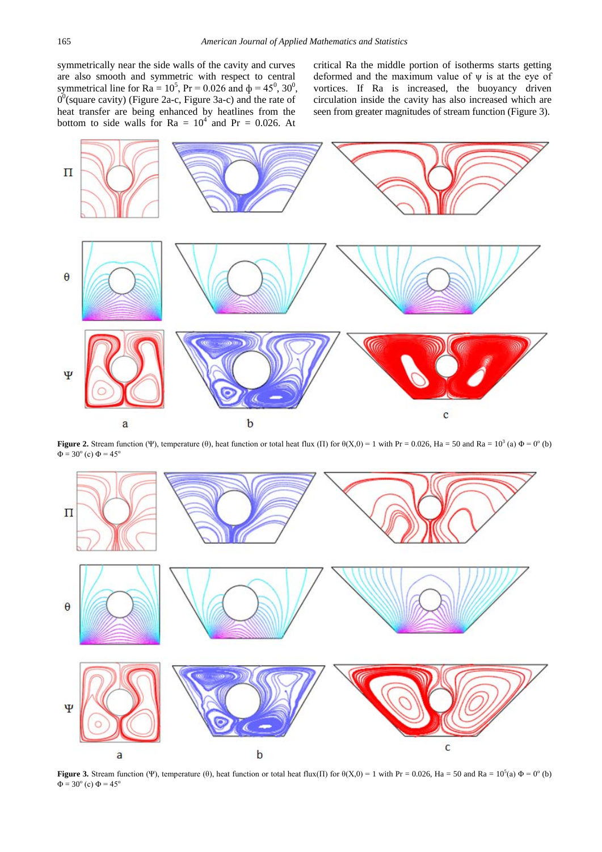symmetrically near the side walls of the cavity and curves are also smooth and symmetric with respect to central symmetrical line for  $Ra = 10^5$ ,  $Pr = 0.026$  and  $\phi = 45^0$ ,  $30^0$ ,  $0<sup>0</sup>$ (square cavity) (Figure 2a-c, Figure 3a-c) and the rate of heat transfer are being enhanced by heatlines from the bottom to side walls for  $Ra = 10^4$  and  $Pr = 0.026$ . At

critical Ra the middle portion of isotherms starts getting deformed and the maximum value of  $\psi$  is at the eye of vortices. If Ra is increased, the buoyancy driven circulation inside the cavity has also increased which are seen from greater magnitudes of stream function (Figure 3).



**Figure 2.** Stream function (Ψ), temperature (θ), heat function or total heat flux (Π) for  $\theta(X,0) = 1$  with Pr = 0.026, Ha = 50 and Ra = 10<sup>3</sup> (a)  $\Phi = 0^\circ$  (b)  $Φ = 30<sup>o</sup>$  (c)  $Φ = 45<sup>o</sup>$ 



**Figure 3.** Stream function (Ψ), temperature (θ), heat function or total heat flux(Π) for  $\theta(X,0) = 1$  with Pr = 0.026, Ha = 50 and Ra = 10<sup>5</sup>(a)  $\Phi = 0^\circ$  (b)  $\Phi = 30^{\circ}$  (c)  $\Phi = 45^{\circ}$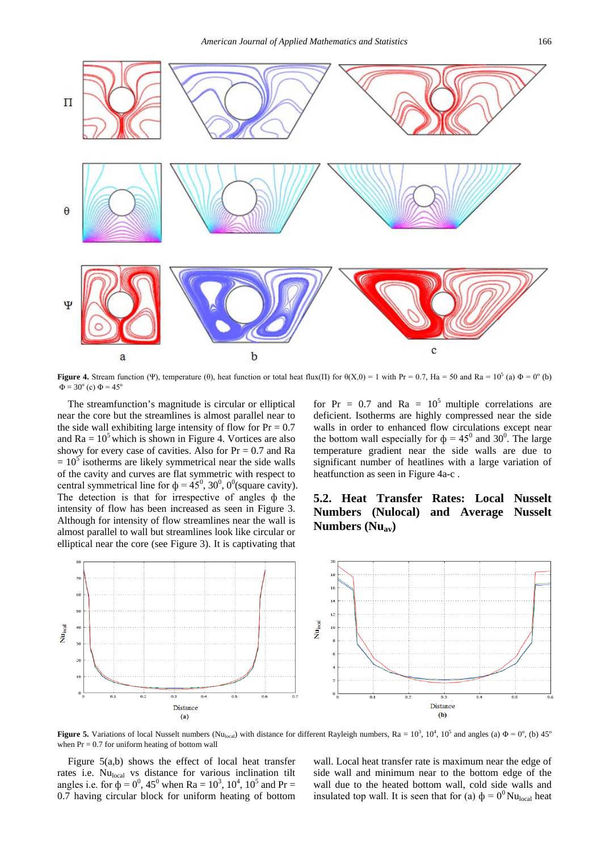

**Figure 4.** Stream function (Ψ), temperature (θ), heat function or total heat flux(Π) for  $\theta$ (X,0) = 1 with Pr = 0.7, Ha = 50 and Ra = 10<sup>5</sup> (a)  $\Phi$  = 0<sup>o</sup> (b)  $\Phi = 30^{\circ}$  (c)  $\Phi = 45^{\circ}$ 

The streamfunction's magnitude is circular or elliptical near the core but the streamlines is almost parallel near to the side wall exhibiting large intensity of flow for  $Pr = 0.7$ and  $Ra = 10<sup>5</sup>$  which is shown in Figure 4. Vortices are also showy for every case of cavities. Also for  $Pr = 0.7$  and Ra  $= 10<sup>5</sup>$  isotherms are likely symmetrical near the side walls of the cavity and curves are flat symmetric with respect to central symmetrical line for  $\phi = 45^{\circ}$ , 30<sup>°</sup>, 0<sup>°</sup>(square cavity). The detection is that for irrespective of angles ф the intensity of flow has been increased as seen in Figure 3. Although for intensity of flow streamlines near the wall is almost parallel to wall but streamlines look like circular or elliptical near the core (see Figure 3). It is captivating that

for  $Pr = 0.7$  and  $Ra = 10^5$  multiple correlations are deficient. Isotherms are highly compressed near the side walls in order to enhanced flow circulations except near the bottom wall especially for  $\phi = 45^{\circ}$  and 30<sup>°</sup>. The large temperature gradient near the side walls are due to significant number of heatlines with a large variation of heatfunction as seen in Figure 4a-c .

# **5.2. Heat Transfer Rates: Local Nusselt Numbers (Nulocal) and Average Nusselt Numbers (Nuav)**



**Figure 5.** Variations of local Nusselt numbers (Nu<sub>local</sub>) with distance for different Rayleigh numbers, Ra =  $10^3$ ,  $10^4$ ,  $10^5$  and angles (a)  $\Phi = 0^{\circ}$ , (b)  $45^{\circ}$ when  $Pr = 0.7$  for uniform heating of bottom wall

Figure 5(a,b) shows the effect of local heat transfer rates i.e. Nulocal vs distance for various inclination tilt angles i.e. for  $\phi = 0^0$ , 45<sup>0</sup> when Ra =  $10^3$ ,  $10^4$ ,  $10^5$  and Pr = 0.7 having circular block for uniform heating of bottom

wall. Local heat transfer rate is maximum near the edge of side wall and minimum near to the bottom edge of the wall due to the heated bottom wall, cold side walls and insulated top wall. It is seen that for (a)  $\phi = 0^0$  Nu<sub>local</sub> heat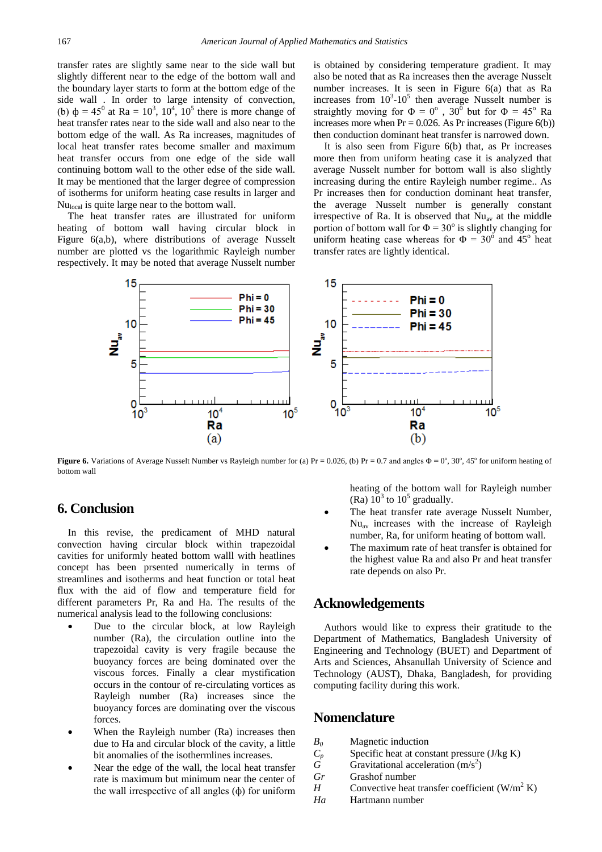transfer rates are slightly same near to the side wall but slightly different near to the edge of the bottom wall and the boundary layer starts to form at the bottom edge of the side wall . In order to large intensity of convection, (b)  $\phi = 45^{\circ}$  at Ra =  $10^3$ ,  $10^4$ ,  $10^5$  there is more change of heat transfer rates near to the side wall and also near to the bottom edge of the wall. As Ra increases, magnitudes of local heat transfer rates become smaller and maximum heat transfer occurs from one edge of the side wall continuing bottom wall to the other edse of the side wall. It may be mentioned that the larger degree of compression of isotherms for uniform heating case results in larger and Nu<sub>local</sub> is quite large near to the bottom wall.

The heat transfer rates are illustrated for uniform heating of bottom wall having circular block in Figure 6(a,b), where distributions of average Nusselt number are plotted vs the logarithmic Rayleigh number respectively. It may be noted that average Nusselt number

is obtained by considering temperature gradient. It may also be noted that as Ra increases then the average Nusselt number increases. It is seen in Figure 6(a) that as Ra increases from  $10^3$ -10<sup>5</sup> then average Nusselt number is straightly moving for  $\Phi = 0^{\circ}$ ,  $30^{\circ}$  but for  $\Phi = 45^{\circ}$  Ra increases more when  $Pr = 0.026$ . As Pr increases (Figure 6(b)) then conduction dominant heat transfer is narrowed down.

It is also seen from Figure 6(b) that, as Pr increases more then from uniform heating case it is analyzed that average Nusselt number for bottom wall is also slightly increasing during the entire Rayleigh number regime.. As Pr increases then for conduction dominant heat transfer, the average Nusselt number is generally constant irrespective of Ra. It is observed that  $Nu_{av}$  at the middle portion of bottom wall for  $\Phi = 30^{\circ}$  is slightly changing for uniform heating case whereas for  $\Phi = 30^{\circ}$  and  $45^{\circ}$  heat transfer rates are lightly identical.



**Figure 6.** Variations of Average Nusselt Number vs Rayleigh number for (a)  $Pr = 0.026$ , (b)  $Pr = 0.7$  and angles  $\Phi = 0^\circ$ , 30°, 45° for uniform heating of bottom wall

## **6. Conclusion**

In this revise, the predicament of MHD natural convection having circular block within trapezoidal cavities for uniformly heated bottom walll with heatlines concept has been prsented numerically in terms of streamlines and isotherms and heat function or total heat flux with the aid of flow and temperature field for different parameters Pr, Ra and Ha. The results of the numerical analysis lead to the following conclusions:

- Due to the circular block, at low Rayleigh number (Ra), the circulation outline into the trapezoidal cavity is very fragile because the buoyancy forces are being dominated over the viscous forces. Finally a clear mystification occurs in the contour of re-circulating vortices as Rayleigh number (Ra) increases since the buoyancy forces are dominating over the viscous forces.
- When the Rayleigh number (Ra) increases then due to Ha and circular block of the cavity, a little bit anomalies of the isothermlines increases.
- Near the edge of the wall, the local heat transfer rate is maximum but minimum near the center of the wall irrespective of all angles (ф) for uniform

heating of the bottom wall for Rayleigh number (Ra)  $10^3$  to  $10^5$  gradually.

- The heat transfer rate average Nusselt Number, Nuav increases with the increase of Rayleigh number, Ra, for uniform heating of bottom wall.
- The maximum rate of heat transfer is obtained for the highest value Ra and also Pr and heat transfer rate depends on also Pr.

## **Acknowledgements**

Authors would like to express their gratitude to the Department of Mathematics, Bangladesh University of Engineering and Technology (BUET) and Department of Arts and Sciences, Ahsanullah University of Science and Technology (AUST), Dhaka, Bangladesh, for providing computing facility during this work.

## **Nomenclature**

- *B0* Magnetic induction
- $C_p$  Specific heat at constant pressure (J/kg K)<br>
Gravitational acceleration (m/s<sup>2</sup>)
- $\tilde{G}$  Gravitational acceleration (m/s<sup>2</sup>)
- *Gr* Grashof number
- *H* Convective heat transfer coefficient  $(W/m^2 K)$
- *Ha* Hartmann number